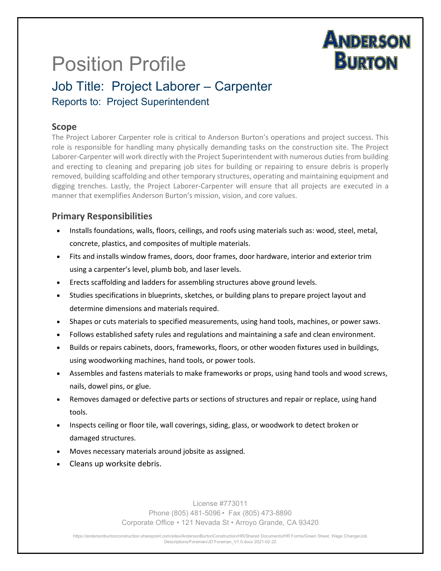# **ANDERSON BURTON**

# Position Profile

# Job Title: Project Laborer – Carpenter Reports to: Project Superintendent

### Scope

The Project Laborer Carpenter role is critical to Anderson Burton's operations and project success. This role is responsible for handling many physically demanding tasks on the construction site. The Project Laborer-Carpenter will work directly with the Project Superintendent with numerous duties from building and erecting to cleaning and preparing job sites for building or repairing to ensure debris is properly removed, building scaffolding and other temporary structures, operating and maintaining equipment and digging trenches. Lastly, the Project Laborer-Carpenter will ensure that all projects are executed in a manner that exemplifies Anderson Burton's mission, vision, and core values.

## Primary Responsibilities

- Installs foundations, walls, floors, ceilings, and roofs using materials such as: wood, steel, metal, concrete, plastics, and composites of multiple materials.
- Fits and installs window frames, doors, door frames, door hardware, interior and exterior trim using a carpenter's level, plumb bob, and laser levels.
- Erects scaffolding and ladders for assembling structures above ground levels.
- Studies specifications in blueprints, sketches, or building plans to prepare project layout and determine dimensions and materials required.
- Shapes or cuts materials to specified measurements, using hand tools, machines, or power saws.
- Follows established safety rules and regulations and maintaining a safe and clean environment.
- Builds or repairs cabinets, doors, frameworks, floors, or other wooden fixtures used in buildings, using woodworking machines, hand tools, or power tools.
- Assembles and fastens materials to make frameworks or props, using hand tools and wood screws, nails, dowel pins, or glue.
- Removes damaged or defective parts or sections of structures and repair or replace, using hand tools.
- Inspects ceiling or floor tile, wall coverings, siding, glass, or woodwork to detect broken or damaged structures.
- Moves necessary materials around jobsite as assigned.
- Cleans up worksite debris.

License #773011 Phone (805) 481-5096 • Fax (805) 473-8890 Corporate Office • 121 Nevada St • Arroyo Grande, CA 93420

https://andersonburtonconstruction.sharepoint.com/sites/AndersonBurtonConstruction/HR/Shared Documents/HR Forms/Green Sheet, Wage Change/Job Descriptions/Foreman/JD Foreman\_V1.0.docx 2021-02-22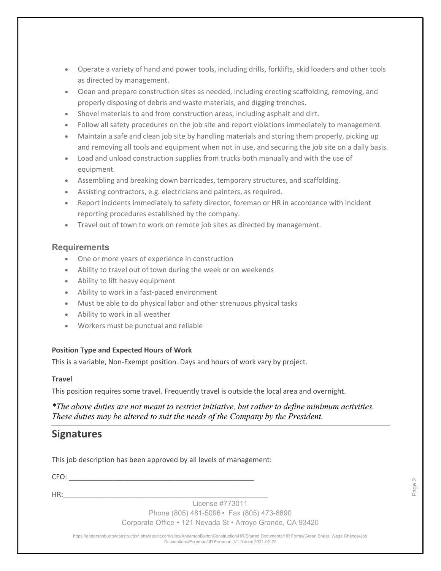- Operate a variety of hand and power tools, including drills, forklifts, skid loaders and other tools as directed by management.
- Clean and prepare construction sites as needed, including erecting scaffolding, removing, and properly disposing of debris and waste materials, and digging trenches.
- Shovel materials to and from construction areas, including asphalt and dirt.
- Follow all safety procedures on the job site and report violations immediately to management.
- Maintain a safe and clean job site by handling materials and storing them properly, picking up and removing all tools and equipment when not in use, and securing the job site on a daily basis.
- Load and unload construction supplies from trucks both manually and with the use of equipment.
- Assembling and breaking down barricades, temporary structures, and scaffolding.
- Assisting contractors, e.g. electricians and painters, as required.
- Report incidents immediately to safety director, foreman or HR in accordance with incident reporting procedures established by the company.
- Travel out of town to work on remote job sites as directed by management.

#### **Requirements**

- One or more years of experience in construction
- Ability to travel out of town during the week or on weekends
- Ability to lift heavy equipment
- Ability to work in a fast-paced environment
- Must be able to do physical labor and other strenuous physical tasks
- Ability to work in all weather
- Workers must be punctual and reliable

#### Position Type and Expected Hours of Work

This is a variable, Non-Exempt position. Days and hours of work vary by project.

#### **Travel**

This position requires some travel. Frequently travel is outside the local area and overnight.

\*The above duties are not meant to restrict initiative, but rather to define minimum activities. These duties may be altered to suit the needs of the Company by the President.

### **Signatures**

This job description has been approved by all levels of management:

 $CFO:$ 

HR:\_\_\_\_\_\_\_\_\_\_\_\_\_\_\_\_\_\_\_\_\_\_\_\_\_\_\_\_\_\_\_\_\_\_\_\_\_\_\_\_\_\_\_\_\_\_\_\_\_\_\_\_

License #773011

Phone (805) 481-5096 • Fax (805) 473-8890

Corporate Office • 121 Nevada St • Arroyo Grande, CA 93420

https://andersonburtonconstruction.sharepoint.com/sites/AndersonBurtonConstruction/HR/Shared Documents/HR Forms/Green Sheet, Wage Change/Job License #773011<br>
License #773011<br>
Despace + 121 Nevada St • Arroyo Grande, CA 93420<br>
Sexiptions/Foreman/JD Foreman\_V1.0.docx 2021-02-22<br>
Descriptions/Foreman/JD Foreman\_V1.0.docx 2021-02-22